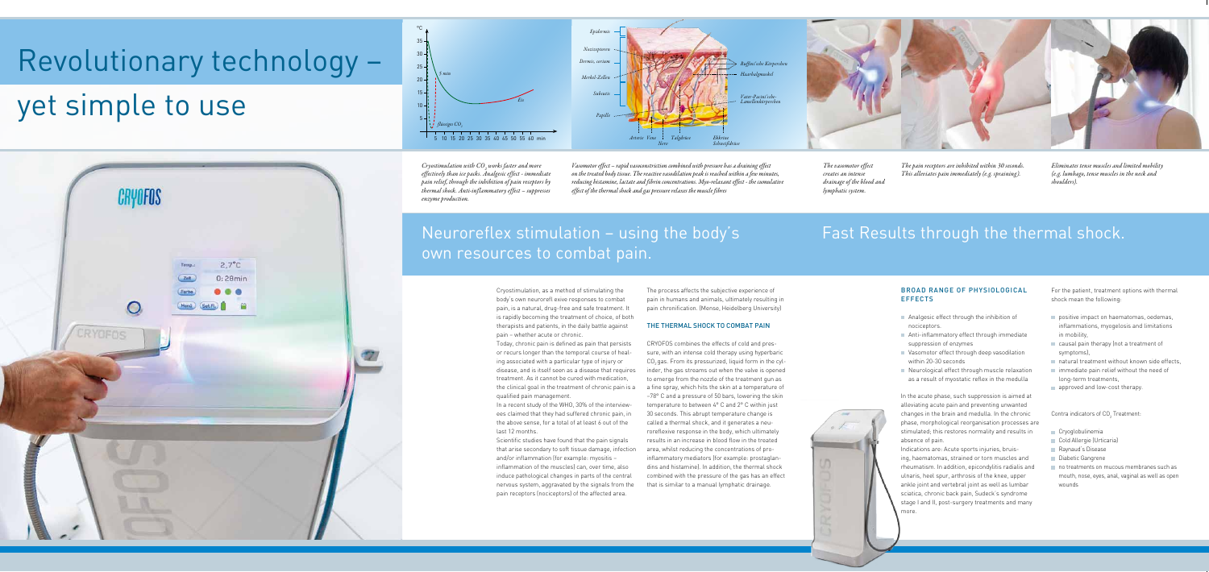## Neuroreflex stimulation – using the body's own resources to combat pain.

Fast Results through the thermal shock.

# Revolutionary technology –

# yet simple to use



Cryostimulation, as a method of stimulating the body's own neurorefl exive responses to combat pain, is a natural, drug-free and safe treatment. It is rapidly becoming the treatment of choice, of both therapists and patients, in the daily battle against pain – whether acute or chronic.

In a recent study of the WHO, 30% of the interviewees claimed that they had suffered chronic pain, in the above sense, for a total of at least 6 out of the last 12 months.

#### Broad Range of Physiological **EFFECTS**

Today, chronic pain is defined as pain that persists or recurs longer than the temporal course of healing associated with a particular type of injury or disease, and is itself seen as a disease that requires treatment. As it cannot be cured with medication, the clinical goal in the treatment of chronic pain is a qualified pain management.

- Analgesic effect through the inhibition of nociceptors.
- Anti-inflammatory effect through immediate suppression of enzymes
- Vasomotor effect through deep vasodilation within 20-30 seconds
- Neurological effect through muscle relaxation as a result of myostatic reflex in the medulla

Scientific studies have found that the pain signals that arise secondary to soft tissue damage, infection and/or inflammation (for example: myositis – inflammation of the muscles) can, over time, also induce pathological changes in parts of the central nervous system, aggravated by the signals from the pain receptors (nociceptors) of the affected area.

- Cryoglobulinemia
- Cold Allergie (Urticaria)
- Raynaud's Disease
- Diabetic Gangrene
- no treatments on mucous membranes such as mouth, nose, eyes, anal, vaginal as well as open wounds



In the acute phase, such suppression is aimed at alleviating acute pain and preventing unwanted changes in the brain and medulla. In the chronic phase, morphological reorganisation processes are stimulated; this restores normality and results in absence of pain.



Indications are: Acute sports injuries, bruising, haematomas, strained or torn muscles and rheumatism. In addition, epicondylitis radialis and ulnaris, heel spur, arthrosis of the knee, upper ankle joint and vertebral joint as well as lumbar sciatica, chronic back pain, Sudeck's syndrome stage I and II, post-surgery treatments and many more.

For the patient, treatment options with thermal shock mean the following:

- positive impact on haematomas, oedemas, inflammations, myogelosis and limitations in mobility,
- causal pain therapy (not a treatment of symptoms)
- natural treatment without known side effects,
- immediate pain relief without the need of long-term treatments,
- approved and low-cost therapy.

#### Contra indicators of  $CO<sub>2</sub>$  Treatment:

The process affects the subjective experience of pain in humans and animals, ultimately resulting in pain chronification. (Mense, Heidelberg University)

#### THE THERMAL SHOCK TO COMBAT PAIN

CRYOFOS combines the effects of cold and pressure, with an intense cold therapy using hyperbaric CO<sub>2</sub> gas. From its pressurized, liquid form in the cylinder, the gas streams out when the valve is opened to emerge from the nozzle of the treatment gun as a fine spray, which hits the skin at a temperature of –78° C and a pressure of 50 bars, lowering the skin temperature to between 4° C and 2° C within just 30 seconds. This abrupt temperature change is called a thermal shock, and it generates a neuroreflexive response in the body, which ultimately results in an increase in blood flow in the treated

area, whilst reducing the concentrations of proinflammatory mediators (for example: prostaglandins and histamine). In addition, the thermal shock combined with the pressure of the gas has an effect that is similar to a manual lymphatic drainage.

*Cryostimulation with CO2 works faster and more effectively than ice packs. Analgesic effect - immediate pain relief, through the inhibition of pain receptors by thermal shock. Anti-inflammatory effect – suppresses enzyme production.*

*Vasomotor effect – rapid vasoconstriction combined with pressure has a draining effect on the treated body tissue. The reactive vasodilation peak is reached within a few minutes, reducing histamine, lactate and fibrin concentrations. Myo-relaxant effect - the cumulative effect of the thermal shock and gas pressure relaxes the muscle fibres* 

*The pain receptors are inhibited within 30 seconds. This alleviates pain immediately (e.g. spraining).*

*Eliminates tense muscles and limited mobility (e.g. lumbago, tense muscles in the neck and shoulders).*

*The vasomotor effect creates an intense drainage of the blood and lymphatic system.*